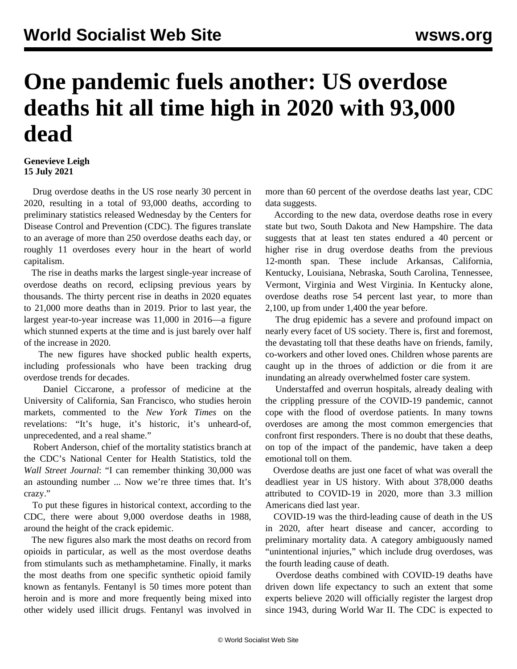## **One pandemic fuels another: US overdose deaths hit all time high in 2020 with 93,000 dead**

## **Genevieve Leigh 15 July 2021**

 Drug overdose deaths in the US rose nearly 30 percent in 2020, resulting in a total of 93,000 deaths, according to preliminary statistics released Wednesday by the Centers for Disease Control and Prevention (CDC). The figures translate to an average of more than 250 overdose deaths each day, or roughly 11 overdoses every hour in the heart of world capitalism.

 The rise in deaths marks the largest single-year increase of overdose deaths on record, eclipsing previous years by thousands. The thirty percent rise in deaths in 2020 equates to 21,000 more deaths than in 2019. Prior to last year, the largest year-to-year increase was 11,000 in 2016—a figure which stunned experts at the time and is just barely over half of the increase in 2020.

 The new figures have shocked public health experts, including professionals who have been tracking drug overdose trends for decades.

 Daniel Ciccarone, a professor of medicine at the University of California, San Francisco, who studies heroin markets, commented to the *New York Times* on the revelations: "It's huge, it's historic, it's unheard-of, unprecedented, and a real shame."

 Robert Anderson, chief of the mortality statistics branch at the CDC's National Center for Health Statistics, told the *Wall Street Journal*: "I can remember thinking 30,000 was an astounding number ... Now we're three times that. It's crazy."

 To put these figures in historical context, according to the CDC, there were about 9,000 overdose deaths in 1988, around the height of the crack epidemic.

 The new figures also mark the most deaths on record from opioids in particular, as well as the most overdose deaths from stimulants such as methamphetamine. Finally, it marks the most deaths from one specific synthetic opioid family known as fentanyls. Fentanyl is 50 times more potent than heroin and is more and more frequently being mixed into other widely used illicit drugs. Fentanyl was involved in more than 60 percent of the overdose deaths last year, CDC data suggests.

 According to the new data, overdose deaths rose in every state but two, South Dakota and New Hampshire. The data suggests that at least ten states endured a 40 percent or higher rise in drug overdose deaths from the previous 12-month span. These include Arkansas, California, Kentucky, Louisiana, Nebraska, South Carolina, Tennessee, Vermont, Virginia and West Virginia. In Kentucky alone, overdose deaths rose 54 percent last year, to more than 2,100, up from under 1,400 the year before.

 The drug epidemic has a severe and profound impact on nearly every facet of US society. There is, first and foremost, the devastating toll that these deaths have on friends, family, co-workers and other loved ones. Children whose parents are caught up in the throes of addiction or die from it are inundating an already overwhelmed foster care system.

 Understaffed and overrun hospitals, already dealing with the crippling pressure of the COVID-19 pandemic, cannot cope with the flood of overdose patients. In many towns overdoses are among the most common emergencies that confront first responders. There is no doubt that these deaths, on top of the impact of the pandemic, have taken a deep emotional toll on them.

 Overdose deaths are just one facet of what was overall the deadliest year in US history. With about 378,000 deaths attributed to COVID-19 in 2020, more than 3.3 million Americans died last year.

 COVID-19 was the third-leading cause of death in the US in 2020, after heart disease and cancer, according to preliminary mortality data. A category ambiguously named "unintentional injuries," which include drug overdoses, was the fourth leading cause of death.

 Overdose deaths combined with COVID-19 deaths have driven down life expectancy to such an extent that some experts believe 2020 will officially register the largest drop since 1943, during World War II. The CDC is expected to